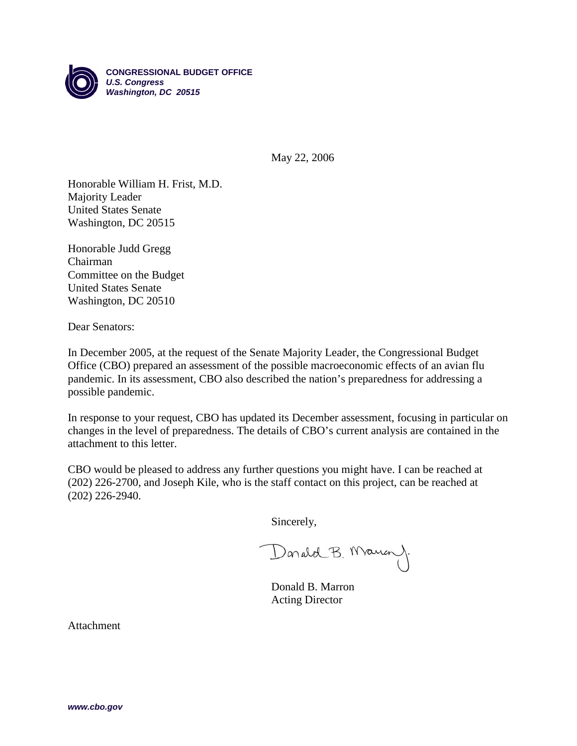

May 22, 2006

Honorable William H. Frist, M.D. Majority Leader United States Senate Washington, DC 20515

Honorable Judd Gregg Chairman Committee on the Budget United States Senate Washington, DC 20510

Dear Senators:

In December 2005, at the request of the Senate Majority Leader, the Congressional Budget Office (CBO) prepared an assessment of the possible macroeconomic effects of an avian flu pandemic. In its assessment, CBO also described the nation's preparedness for addressing a possible pandemic.

In response to your request, CBO has updated its December assessment, focusing in particular on changes in the level of preparedness. The details of CBO's current analysis are contained in the attachment to this letter.

CBO would be pleased to address any further questions you might have. I can be reached at (202) 226-2700, and Joseph Kile, who is the staff contact on this project, can be reached at (202) 226-2940.

Sincerely,

Darald B. Maun)

Donald B. Marron Acting Director

Attachment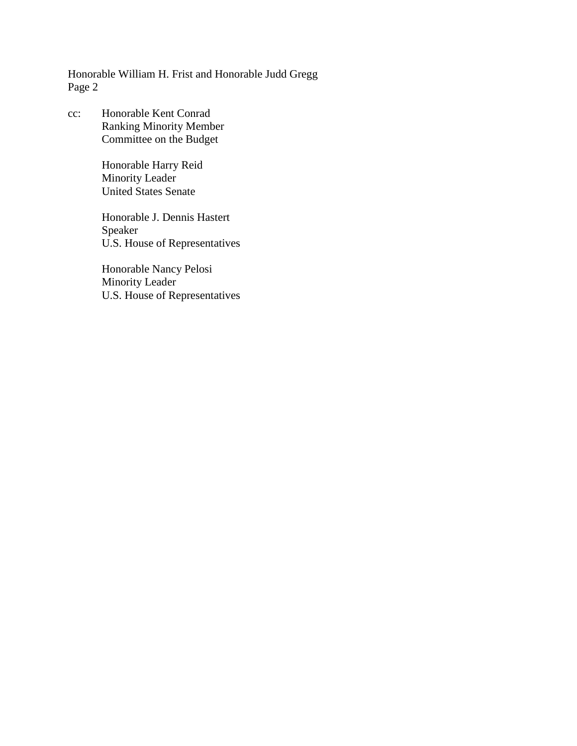Honorable William H. Frist and Honorable Judd Gregg Page 2

cc: Honorable Kent Conrad Ranking Minority Member Committee on the Budget

> Honorable Harry Reid Minority Leader United States Senate

Honorable J. Dennis Hastert Speaker U.S. House of Representatives

Honorable Nancy Pelosi Minority Leader U.S. House of Representatives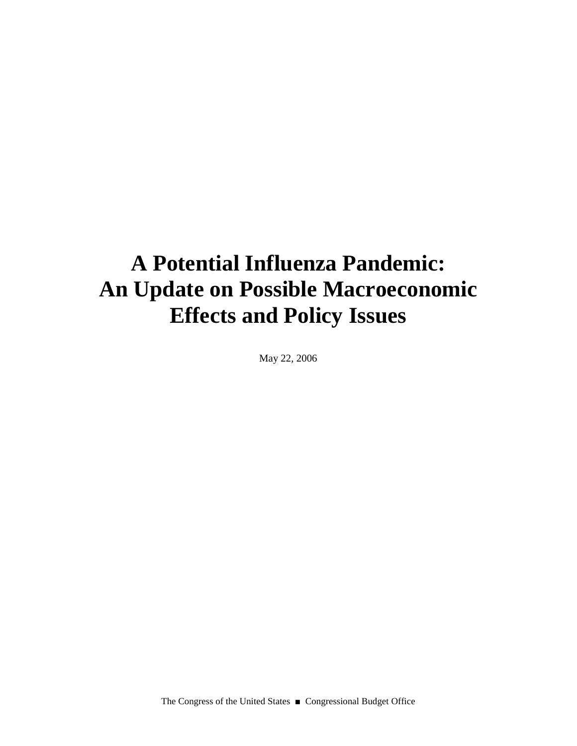# **A Potential Influenza Pandemic: An Update on Possible Macroeconomic Effects and Policy Issues**

May 22, 2006

The Congress of the United States ■ Congressional Budget Office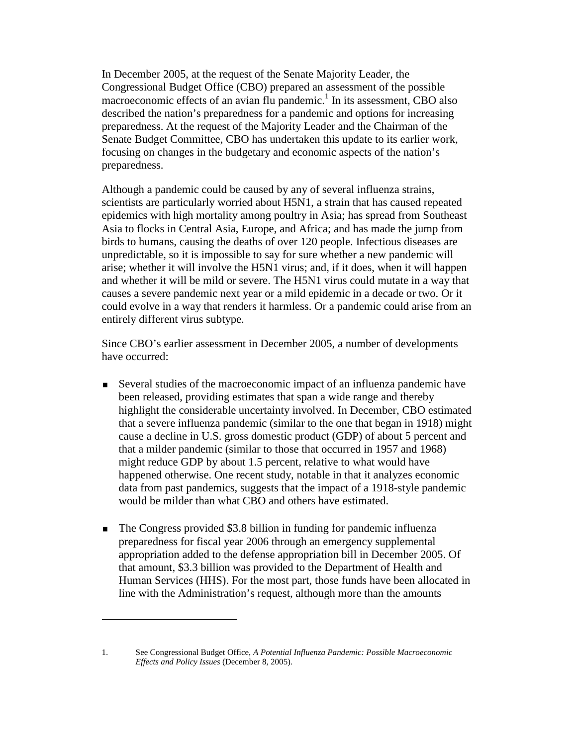In December 2005, at the request of the Senate Majority Leader, the Congressional Budget Office (CBO) prepared an assessment of the possible macroeconomic effects of an avian flu pandemic.<sup>1</sup> In its assessment, CBO also described the nation's preparedness for a pandemic and options for increasing preparedness. At the request of the Majority Leader and the Chairman of the Senate Budget Committee, CBO has undertaken this update to its earlier work, focusing on changes in the budgetary and economic aspects of the nation's preparedness.

Although a pandemic could be caused by any of several influenza strains, scientists are particularly worried about H5N1, a strain that has caused repeated epidemics with high mortality among poultry in Asia; has spread from Southeast Asia to flocks in Central Asia, Europe, and Africa; and has made the jump from birds to humans, causing the deaths of over 120 people. Infectious diseases are unpredictable, so it is impossible to say for sure whether a new pandemic will arise; whether it will involve the H5N1 virus; and, if it does, when it will happen and whether it will be mild or severe. The H5N1 virus could mutate in a way that causes a severe pandemic next year or a mild epidemic in a decade or two. Or it could evolve in a way that renders it harmless. Or a pandemic could arise from an entirely different virus subtype.

Since CBO's earlier assessment in December 2005, a number of developments have occurred:

- Several studies of the macroeconomic impact of an influenza pandemic have been released, providing estimates that span a wide range and thereby highlight the considerable uncertainty involved. In December, CBO estimated that a severe influenza pandemic (similar to the one that began in 1918) might cause a decline in U.S. gross domestic product (GDP) of about 5 percent and that a milder pandemic (similar to those that occurred in 1957 and 1968) might reduce GDP by about 1.5 percent, relative to what would have happened otherwise. One recent study, notable in that it analyzes economic data from past pandemics, suggests that the impact of a 1918-style pandemic would be milder than what CBO and others have estimated.
- The Congress provided \$3.8 billion in funding for pandemic influenza preparedness for fiscal year 2006 through an emergency supplemental appropriation added to the defense appropriation bill in December 2005. Of that amount, \$3.3 billion was provided to the Department of Health and Human Services (HHS). For the most part, those funds have been allocated in line with the Administration's request, although more than the amounts

<sup>1.</sup> See Congressional Budget Office, *A Potential Influenza Pandemic: Possible Macroeconomic Effects and Policy Issues* (December 8, 2005).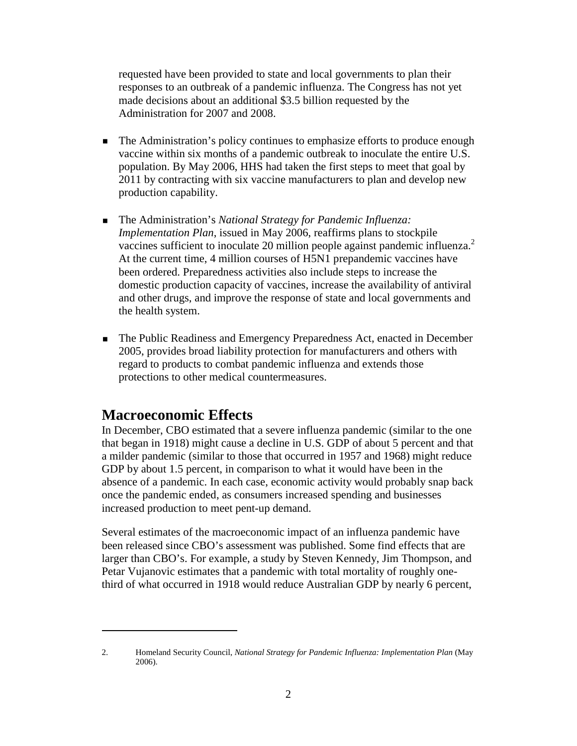requested have been provided to state and local governments to plan their responses to an outbreak of a pandemic influenza. The Congress has not yet made decisions about an additional \$3.5 billion requested by the Administration for 2007 and 2008.

- The Administration's policy continues to emphasize efforts to produce enough vaccine within six months of a pandemic outbreak to inoculate the entire U.S. population. By May 2006, HHS had taken the first steps to meet that goal by 2011 by contracting with six vaccine manufacturers to plan and develop new production capability.
- The Administration's *National Strategy for Pandemic Influenza: Implementation Plan*, issued in May 2006, reaffirms plans to stockpile vaccines sufficient to inoculate 20 million people against pandemic influenza.<sup>2</sup> At the current time, 4 million courses of H5N1 prepandemic vaccines have been ordered. Preparedness activities also include steps to increase the domestic production capacity of vaccines, increase the availability of antiviral and other drugs, and improve the response of state and local governments and the health system.
- The Public Readiness and Emergency Preparedness Act, enacted in December 2005, provides broad liability protection for manufacturers and others with regard to products to combat pandemic influenza and extends those protections to other medical countermeasures.

## **Macroeconomic Effects**

In December, CBO estimated that a severe influenza pandemic (similar to the one that began in 1918) might cause a decline in U.S. GDP of about 5 percent and that a milder pandemic (similar to those that occurred in 1957 and 1968) might reduce GDP by about 1.5 percent, in comparison to what it would have been in the absence of a pandemic. In each case, economic activity would probably snap back once the pandemic ended, as consumers increased spending and businesses increased production to meet pent-up demand.

Several estimates of the macroeconomic impact of an influenza pandemic have been released since CBO's assessment was published. Some find effects that are larger than CBO's. For example, a study by Steven Kennedy, Jim Thompson, and Petar Vujanovic estimates that a pandemic with total mortality of roughly onethird of what occurred in 1918 would reduce Australian GDP by nearly 6 percent,

<sup>2.</sup> Homeland Security Council, *National Strategy for Pandemic Influenza: Implementation Plan* (May 2006).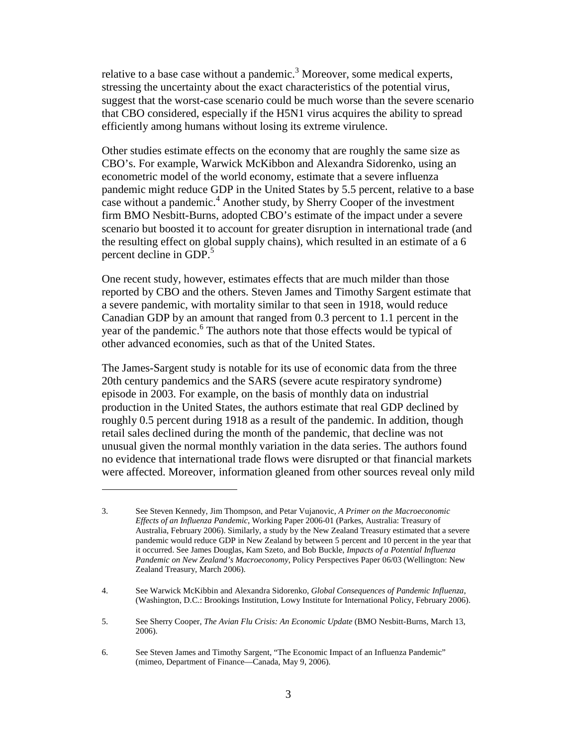relative to a base case without a pandemic.<sup>3</sup> Moreover, some medical experts, stressing the uncertainty about the exact characteristics of the potential virus, suggest that the worst-case scenario could be much worse than the severe scenario that CBO considered, especially if the H5N1 virus acquires the ability to spread efficiently among humans without losing its extreme virulence.

Other studies estimate effects on the economy that are roughly the same size as CBO's. For example, Warwick McKibbon and Alexandra Sidorenko, using an econometric model of the world economy, estimate that a severe influenza pandemic might reduce GDP in the United States by 5.5 percent, relative to a base case without a pandemic.<sup>4</sup> Another study, by Sherry Cooper of the investment firm BMO Nesbitt-Burns, adopted CBO's estimate of the impact under a severe scenario but boosted it to account for greater disruption in international trade (and the resulting effect on global supply chains), which resulted in an estimate of a 6 percent decline in GDP.<sup>5</sup>

One recent study, however, estimates effects that are much milder than those reported by CBO and the others. Steven James and Timothy Sargent estimate that a severe pandemic, with mortality similar to that seen in 1918, would reduce Canadian GDP by an amount that ranged from 0.3 percent to 1.1 percent in the year of the pandemic.<sup>6</sup> The authors note that those effects would be typical of other advanced economies, such as that of the United States.

The James-Sargent study is notable for its use of economic data from the three 20th century pandemics and the SARS (severe acute respiratory syndrome) episode in 2003. For example, on the basis of monthly data on industrial production in the United States, the authors estimate that real GDP declined by roughly 0.5 percent during 1918 as a result of the pandemic. In addition, though retail sales declined during the month of the pandemic, that decline was not unusual given the normal monthly variation in the data series. The authors found no evidence that international trade flows were disrupted or that financial markets were affected. Moreover, information gleaned from other sources reveal only mild

4. See Warwick McKibbin and Alexandra Sidorenko, *Global Consequences of Pandemic Influenza*, (Washington, D.C.: Brookings Institution, Lowy Institute for International Policy, February 2006).

<sup>3.</sup> See Steven Kennedy, Jim Thompson, and Petar Vujanovic, *A Primer on the Macroeconomic Effects of an Influenza Pandemic*, Working Paper 2006-01 (Parkes, Australia: Treasury of Australia, February 2006). Similarly, a study by the New Zealand Treasury estimated that a severe pandemic would reduce GDP in New Zealand by between 5 percent and 10 percent in the year that it occurred. See James Douglas, Kam Szeto, and Bob Buckle, *Impacts of a Potential Influenza Pandemic on New Zealand's Macroeconomy*, Policy Perspectives Paper 06/03 (Wellington: New Zealand Treasury, March 2006).

<sup>5.</sup> See Sherry Cooper, *The Avian Flu Crisis: An Economic Update* (BMO Nesbitt-Burns, March 13, 2006).

<sup>6.</sup> See Steven James and Timothy Sargent, "The Economic Impact of an Influenza Pandemic" (mimeo, Department of Finance—Canada, May 9, 2006).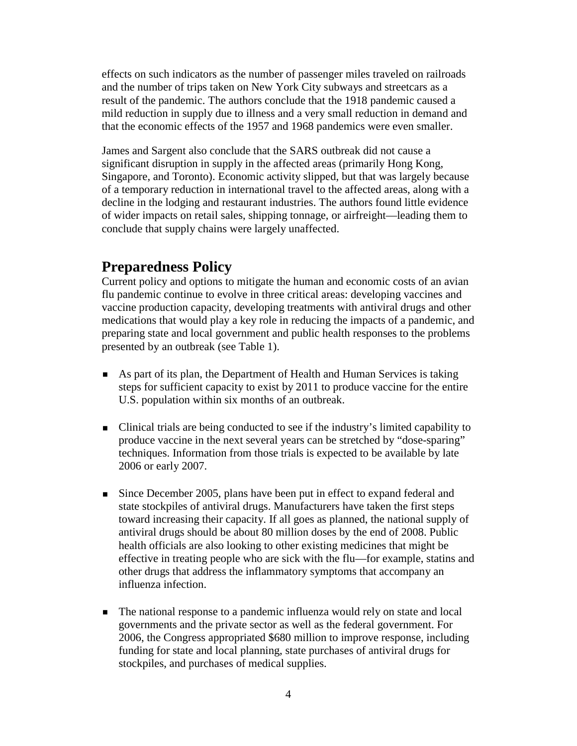effects on such indicators as the number of passenger miles traveled on railroads and the number of trips taken on New York City subways and streetcars as a result of the pandemic. The authors conclude that the 1918 pandemic caused a mild reduction in supply due to illness and a very small reduction in demand and that the economic effects of the 1957 and 1968 pandemics were even smaller.

James and Sargent also conclude that the SARS outbreak did not cause a significant disruption in supply in the affected areas (primarily Hong Kong, Singapore, and Toronto). Economic activity slipped, but that was largely because of a temporary reduction in international travel to the affected areas, along with a decline in the lodging and restaurant industries. The authors found little evidence of wider impacts on retail sales, shipping tonnage, or airfreight—leading them to conclude that supply chains were largely unaffected.

### **Preparedness Policy**

Current policy and options to mitigate the human and economic costs of an avian flu pandemic continue to evolve in three critical areas: developing vaccines and vaccine production capacity, developing treatments with antiviral drugs and other medications that would play a key role in reducing the impacts of a pandemic, and preparing state and local government and public health responses to the problems presented by an outbreak (see Table 1).

- As part of its plan, the Department of Health and Human Services is taking steps for sufficient capacity to exist by 2011 to produce vaccine for the entire U.S. population within six months of an outbreak.
- Clinical trials are being conducted to see if the industry's limited capability to produce vaccine in the next several years can be stretched by "dose-sparing" techniques. Information from those trials is expected to be available by late 2006 or early 2007.
- Since December 2005, plans have been put in effect to expand federal and state stockpiles of antiviral drugs. Manufacturers have taken the first steps toward increasing their capacity. If all goes as planned, the national supply of antiviral drugs should be about 80 million doses by the end of 2008. Public health officials are also looking to other existing medicines that might be effective in treating people who are sick with the flu—for example, statins and other drugs that address the inflammatory symptoms that accompany an influenza infection.
- The national response to a pandemic influenza would rely on state and local governments and the private sector as well as the federal government. For 2006, the Congress appropriated \$680 million to improve response, including funding for state and local planning, state purchases of antiviral drugs for stockpiles, and purchases of medical supplies.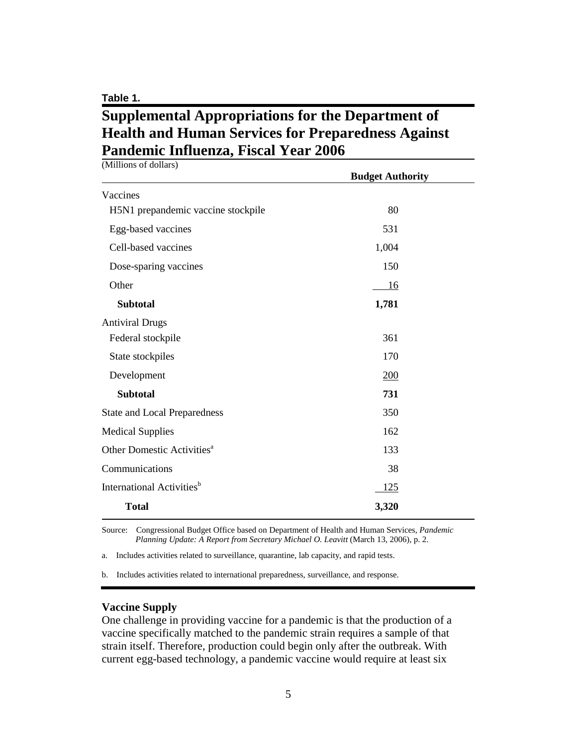**Table 1.**

## **Supplemental Appropriations for the Department of Health and Human Services for Preparedness Against Pandemic Influenza, Fiscal Year 2006**

| (Millions of dollars)                  | <b>Budget Authority</b> |  |
|----------------------------------------|-------------------------|--|
| Vaccines                               |                         |  |
| H5N1 prepandemic vaccine stockpile     | 80                      |  |
| Egg-based vaccines                     | 531                     |  |
| Cell-based vaccines                    | 1,004                   |  |
| Dose-sparing vaccines                  | 150                     |  |
| Other                                  | 16                      |  |
| <b>Subtotal</b>                        | 1,781                   |  |
| <b>Antiviral Drugs</b>                 |                         |  |
| Federal stockpile                      | 361                     |  |
| State stockpiles                       | 170                     |  |
| Development                            | 200                     |  |
| <b>Subtotal</b>                        | 731                     |  |
| <b>State and Local Preparedness</b>    | 350                     |  |
| <b>Medical Supplies</b>                | 162                     |  |
| Other Domestic Activities <sup>a</sup> | 133                     |  |
| Communications                         | 38                      |  |
| International Activities <sup>b</sup>  | 125                     |  |
| <b>Total</b>                           | 3,320                   |  |

Source: Congressional Budget Office based on Department of Health and Human Services, *Pandemic Planning Update: A Report from Secretary Michael O. Leavitt* (March 13, 2006), p. 2.

a. Includes activities related to surveillance, quarantine, lab capacity, and rapid tests.

b. Includes activities related to international preparedness, surveillance, and response.

#### **Vaccine Supply**

One challenge in providing vaccine for a pandemic is that the production of a vaccine specifically matched to the pandemic strain requires a sample of that strain itself. Therefore, production could begin only after the outbreak. With current egg-based technology, a pandemic vaccine would require at least six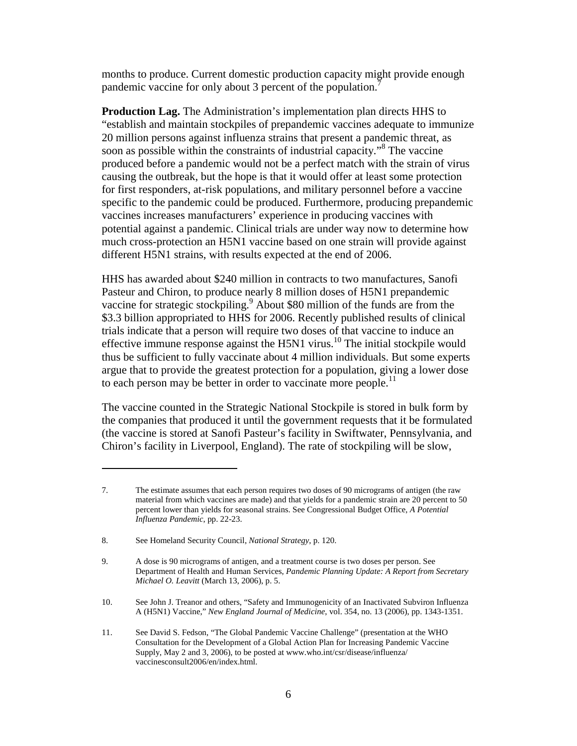months to produce. Current domestic production capacity might provide enough pandemic vaccine for only about 3 percent of the population.<sup>7</sup>

**Production Lag.** The Administration's implementation plan directs HHS to "establish and maintain stockpiles of prepandemic vaccines adequate to immunize 20 million persons against influenza strains that present a pandemic threat, as soon as possible within the constraints of industrial capacity."<sup>8</sup> The vaccine produced before a pandemic would not be a perfect match with the strain of virus causing the outbreak, but the hope is that it would offer at least some protection for first responders, at-risk populations, and military personnel before a vaccine specific to the pandemic could be produced. Furthermore, producing prepandemic vaccines increases manufacturers' experience in producing vaccines with potential against a pandemic. Clinical trials are under way now to determine how much cross-protection an H5N1 vaccine based on one strain will provide against different H5N1 strains, with results expected at the end of 2006.

HHS has awarded about \$240 million in contracts to two manufactures, Sanofi Pasteur and Chiron, to produce nearly 8 million doses of H5N1 prepandemic vaccine for strategic stockpiling.<sup>9</sup> About \$80 million of the funds are from the \$3.3 billion appropriated to HHS for 2006. Recently published results of clinical trials indicate that a person will require two doses of that vaccine to induce an effective immune response against the H5N1 virus.<sup>10</sup> The initial stockpile would thus be sufficient to fully vaccinate about 4 million individuals. But some experts argue that to provide the greatest protection for a population, giving a lower dose to each person may be better in order to vaccinate more people.<sup>11</sup>

The vaccine counted in the Strategic National Stockpile is stored in bulk form by the companies that produced it until the government requests that it be formulated (the vaccine is stored at Sanofi Pasteur's facility in Swiftwater, Pennsylvania, and Chiron's facility in Liverpool, England). The rate of stockpiling will be slow,

<sup>7.</sup> The estimate assumes that each person requires two doses of 90 micrograms of antigen (the raw material from which vaccines are made) and that yields for a pandemic strain are 20 percent to 50 percent lower than yields for seasonal strains. See Congressional Budget Office, *A Potential Influenza Pandemic*, pp. 22-23.

<sup>8.</sup> See Homeland Security Council, *National Strategy*, p. 120.

<sup>9.</sup> A dose is 90 micrograms of antigen, and a treatment course is two doses per person. See Department of Health and Human Services, *Pandemic Planning Update: A Report from Secretary Michael O. Leavitt* (March 13, 2006), p. 5.

<sup>10.</sup> See John J. Treanor and others, "Safety and Immunogenicity of an Inactivated Subviron Influenza A (H5N1) Vaccine," *New England Journal of Medicine*, vol. 354, no. 13 (2006), pp. 1343-1351.

<sup>11.</sup> See David S. Fedson, "The Global Pandemic Vaccine Challenge" (presentation at the WHO Consultation for the Development of a Global Action Plan for Increasing Pandemic Vaccine Supply, May 2 and 3, 2006), to be posted at www.who.int/csr/disease/influenza/ vaccinesconsult2006/en/index.html.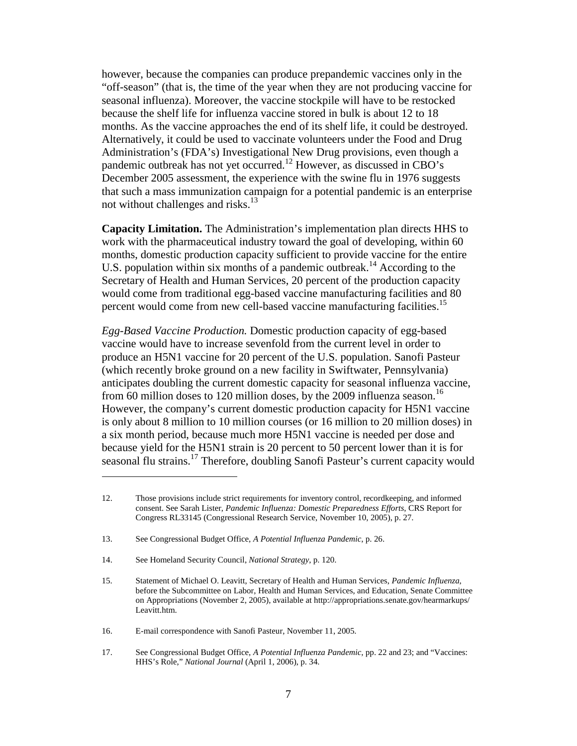however, because the companies can produce prepandemic vaccines only in the "off-season" (that is, the time of the year when they are not producing vaccine for seasonal influenza). Moreover, the vaccine stockpile will have to be restocked because the shelf life for influenza vaccine stored in bulk is about 12 to 18 months. As the vaccine approaches the end of its shelf life, it could be destroyed. Alternatively, it could be used to vaccinate volunteers under the Food and Drug Administration's (FDA's) Investigational New Drug provisions, even though a pandemic outbreak has not yet occurred.<sup>12</sup> However, as discussed in CBO's December 2005 assessment, the experience with the swine flu in 1976 suggests that such a mass immunization campaign for a potential pandemic is an enterprise not without challenges and risks. $13$ 

**Capacity Limitation.** The Administration's implementation plan directs HHS to work with the pharmaceutical industry toward the goal of developing, within 60 months, domestic production capacity sufficient to provide vaccine for the entire U.S. population within six months of a pandemic outbreak.<sup>14</sup> According to the Secretary of Health and Human Services, 20 percent of the production capacity would come from traditional egg-based vaccine manufacturing facilities and 80 percent would come from new cell-based vaccine manufacturing facilities.<sup>15</sup>

*Egg-Based Vaccine Production.* Domestic production capacity of egg-based vaccine would have to increase sevenfold from the current level in order to produce an H5N1 vaccine for 20 percent of the U.S. population. Sanofi Pasteur (which recently broke ground on a new facility in Swiftwater, Pennsylvania) anticipates doubling the current domestic capacity for seasonal influenza vaccine, from 60 million doses to 120 million doses, by the 2009 influenza season.<sup>16</sup> However, the company's current domestic production capacity for H5N1 vaccine is only about 8 million to 10 million courses (or 16 million to 20 million doses) in a six month period, because much more H5N1 vaccine is needed per dose and because yield for the H5N1 strain is 20 percent to 50 percent lower than it is for seasonal flu strains.<sup>17</sup> Therefore, doubling Sanofi Pasteur's current capacity would

<sup>12.</sup> Those provisions include strict requirements for inventory control, recordkeeping, and informed consent. See Sarah Lister, *Pandemic Influenza: Domestic Preparedness Efforts*, CRS Report for Congress RL33145 (Congressional Research Service, November 10, 2005), p. 27.

<sup>13.</sup> See Congressional Budget Office, *A Potential Influenza Pandemic*, p. 26.

<sup>14.</sup> See Homeland Security Council, *National Strategy*, p. 120.

<sup>15.</sup> Statement of Michael O. Leavitt, Secretary of Health and Human Services, *Pandemic Influenza*, before the Subcommittee on Labor, Health and Human Services, and Education, Senate Committee on Appropriations (November 2, 2005), available at http://appropriations.senate.gov/hearmarkups/ Leavitt.htm.

<sup>16.</sup> E-mail correspondence with Sanofi Pasteur, November 11, 2005.

<sup>17.</sup> See Congressional Budget Office, *A Potential Influenza Pandemic*, pp. 22 and 23; and "Vaccines: HHS's Role," *National Journal* (April 1, 2006), p. 34.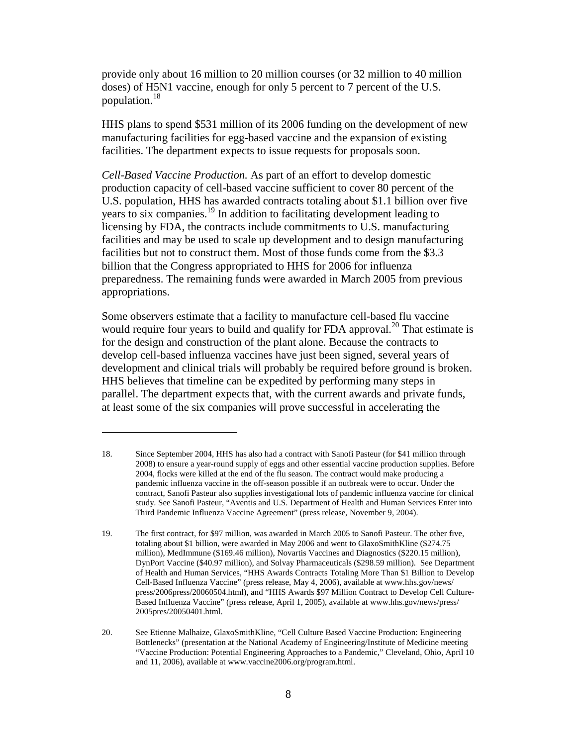provide only about 16 million to 20 million courses (or 32 million to 40 million doses) of H5N1 vaccine, enough for only 5 percent to 7 percent of the U.S. population.18

HHS plans to spend \$531 million of its 2006 funding on the development of new manufacturing facilities for egg-based vaccine and the expansion of existing facilities. The department expects to issue requests for proposals soon.

*Cell-Based Vaccine Production.* As part of an effort to develop domestic production capacity of cell-based vaccine sufficient to cover 80 percent of the U.S. population, HHS has awarded contracts totaling about \$1.1 billion over five years to six companies.<sup>19</sup> In addition to facilitating development leading to licensing by FDA, the contracts include commitments to U.S. manufacturing facilities and may be used to scale up development and to design manufacturing facilities but not to construct them. Most of those funds come from the \$3.3 billion that the Congress appropriated to HHS for 2006 for influenza preparedness. The remaining funds were awarded in March 2005 from previous appropriations.

Some observers estimate that a facility to manufacture cell-based flu vaccine would require four years to build and qualify for FDA approval.<sup>20</sup> That estimate is for the design and construction of the plant alone. Because the contracts to develop cell-based influenza vaccines have just been signed, several years of development and clinical trials will probably be required before ground is broken. HHS believes that timeline can be expedited by performing many steps in parallel. The department expects that, with the current awards and private funds, at least some of the six companies will prove successful in accelerating the

<sup>18.</sup> Since September 2004, HHS has also had a contract with Sanofi Pasteur (for \$41 million through 2008) to ensure a year-round supply of eggs and other essential vaccine production supplies. Before 2004, flocks were killed at the end of the flu season. The contract would make producing a pandemic influenza vaccine in the off-season possible if an outbreak were to occur. Under the contract, Sanofi Pasteur also supplies investigational lots of pandemic influenza vaccine for clinical study. See Sanofi Pasteur, "Aventis and U.S. Department of Health and Human Services Enter into Third Pandemic Influenza Vaccine Agreement" (press release, November 9, 2004).

<sup>19.</sup> The first contract, for \$97 million, was awarded in March 2005 to Sanofi Pasteur. The other five, totaling about \$1 billion, were awarded in May 2006 and went to GlaxoSmithKline (\$274.75 million), MedImmune (\$169.46 million), Novartis Vaccines and Diagnostics (\$220.15 million), DynPort Vaccine (\$40.97 million), and Solvay Pharmaceuticals (\$298.59 million). See Department of Health and Human Services, "HHS Awards Contracts Totaling More Than \$1 Billion to Develop Cell-Based Influenza Vaccine" (press release, May 4, 2006), available at www.hhs.gov/news/ press/2006press/20060504.html), and "HHS Awards \$97 Million Contract to Develop Cell Culture-Based Influenza Vaccine" (press release, April 1, 2005), available at www.hhs.gov/news/press/ 2005pres/20050401.html.

<sup>20.</sup> See Etienne Malhaize, GlaxoSmithKline, "Cell Culture Based Vaccine Production: Engineering Bottlenecks" (presentation at the National Academy of Engineering/Institute of Medicine meeting "Vaccine Production: Potential Engineering Approaches to a Pandemic," Cleveland, Ohio, April 10 and 11, 2006), available at www.vaccine2006.org/program.html.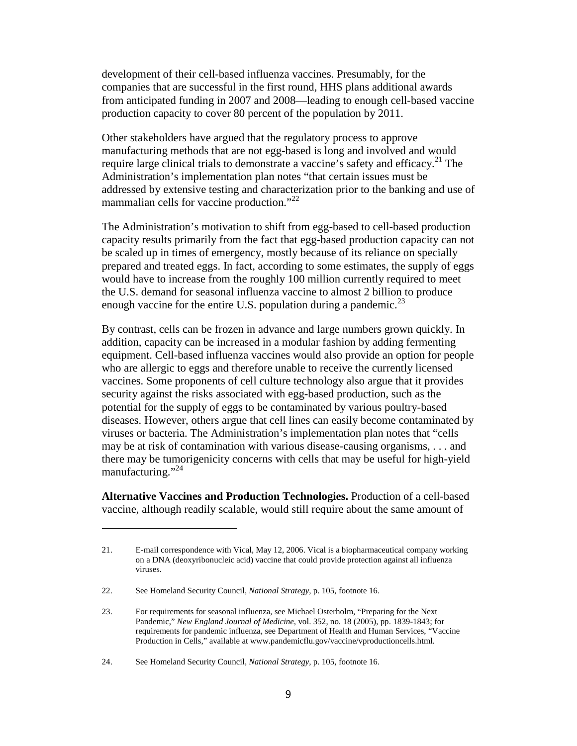development of their cell-based influenza vaccines. Presumably, for the companies that are successful in the first round, HHS plans additional awards from anticipated funding in 2007 and 2008—leading to enough cell-based vaccine production capacity to cover 80 percent of the population by 2011.

Other stakeholders have argued that the regulatory process to approve manufacturing methods that are not egg-based is long and involved and would require large clinical trials to demonstrate a vaccine's safety and efficacy.<sup>21</sup> The Administration's implementation plan notes "that certain issues must be addressed by extensive testing and characterization prior to the banking and use of mammalian cells for vaccine production."<sup>22</sup>

The Administration's motivation to shift from egg-based to cell-based production capacity results primarily from the fact that egg-based production capacity can not be scaled up in times of emergency, mostly because of its reliance on specially prepared and treated eggs. In fact, according to some estimates, the supply of eggs would have to increase from the roughly 100 million currently required to meet the U.S. demand for seasonal influenza vaccine to almost 2 billion to produce enough vaccine for the entire U.S. population during a pandemic.<sup>23</sup>

By contrast, cells can be frozen in advance and large numbers grown quickly. In addition, capacity can be increased in a modular fashion by adding fermenting equipment. Cell-based influenza vaccines would also provide an option for people who are allergic to eggs and therefore unable to receive the currently licensed vaccines. Some proponents of cell culture technology also argue that it provides security against the risks associated with egg-based production, such as the potential for the supply of eggs to be contaminated by various poultry-based diseases. However, others argue that cell lines can easily become contaminated by viruses or bacteria. The Administration's implementation plan notes that "cells may be at risk of contamination with various disease-causing organisms, . . . and there may be tumorigenicity concerns with cells that may be useful for high-yield manufacturing."<sup>24</sup>

**Alternative Vaccines and Production Technologies.** Production of a cell-based vaccine, although readily scalable, would still require about the same amount of

<sup>21.</sup> E-mail correspondence with Vical, May 12, 2006. Vical is a biopharmaceutical company working on a DNA (deoxyribonucleic acid) vaccine that could provide protection against all influenza viruses.

<sup>22.</sup> See Homeland Security Council, *National Strategy*, p. 105, footnote 16.

<sup>23.</sup> For requirements for seasonal influenza, see Michael Osterholm, "Preparing for the Next Pandemic," *New England Journal of Medicine*, vol. 352, no. 18 (2005), pp. 1839-1843; for requirements for pandemic influenza, see Department of Health and Human Services, "Vaccine Production in Cells," available at www.pandemicflu.gov/vaccine/vproductioncells.html.

<sup>24.</sup> See Homeland Security Council, *National Strategy*, p. 105, footnote 16.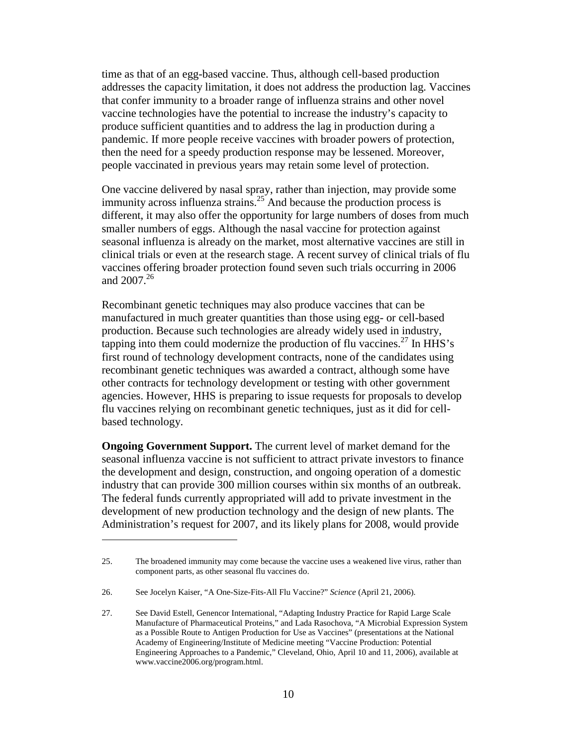time as that of an egg-based vaccine. Thus, although cell-based production addresses the capacity limitation, it does not address the production lag. Vaccines that confer immunity to a broader range of influenza strains and other novel vaccine technologies have the potential to increase the industry's capacity to produce sufficient quantities and to address the lag in production during a pandemic. If more people receive vaccines with broader powers of protection, then the need for a speedy production response may be lessened. Moreover, people vaccinated in previous years may retain some level of protection.

One vaccine delivered by nasal spray, rather than injection, may provide some immunity across influenza strains.<sup>25</sup> And because the production process is different, it may also offer the opportunity for large numbers of doses from much smaller numbers of eggs. Although the nasal vaccine for protection against seasonal influenza is already on the market, most alternative vaccines are still in clinical trials or even at the research stage. A recent survey of clinical trials of flu vaccines offering broader protection found seven such trials occurring in 2006 and  $2007.<sup>26</sup>$ 

Recombinant genetic techniques may also produce vaccines that can be manufactured in much greater quantities than those using egg- or cell-based production. Because such technologies are already widely used in industry, tapping into them could modernize the production of flu vaccines.<sup>27</sup> In HHS's first round of technology development contracts, none of the candidates using recombinant genetic techniques was awarded a contract, although some have other contracts for technology development or testing with other government agencies. However, HHS is preparing to issue requests for proposals to develop flu vaccines relying on recombinant genetic techniques, just as it did for cellbased technology.

**Ongoing Government Support.** The current level of market demand for the seasonal influenza vaccine is not sufficient to attract private investors to finance the development and design, construction, and ongoing operation of a domestic industry that can provide 300 million courses within six months of an outbreak. The federal funds currently appropriated will add to private investment in the development of new production technology and the design of new plants. The Administration's request for 2007, and its likely plans for 2008, would provide

<sup>25.</sup> The broadened immunity may come because the vaccine uses a weakened live virus, rather than component parts, as other seasonal flu vaccines do.

<sup>26.</sup> See Jocelyn Kaiser, "A One-Size-Fits-All Flu Vaccine?" *Science* (April 21, 2006).

<sup>27.</sup> See David Estell, Genencor International, "Adapting Industry Practice for Rapid Large Scale Manufacture of Pharmaceutical Proteins," and Lada Rasochova, "A Microbial Expression System as a Possible Route to Antigen Production for Use as Vaccines" (presentations at the National Academy of Engineering/Institute of Medicine meeting "Vaccine Production: Potential Engineering Approaches to a Pandemic," Cleveland, Ohio, April 10 and 11, 2006), available at www.vaccine2006.org/program.html.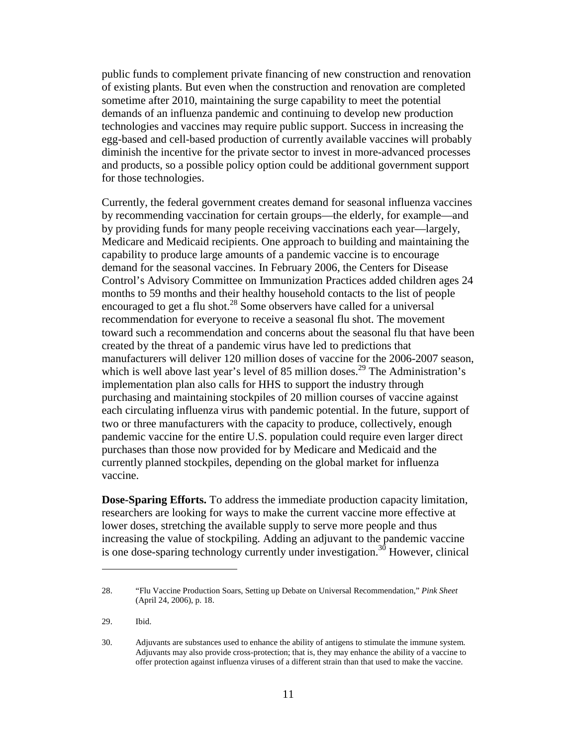public funds to complement private financing of new construction and renovation of existing plants. But even when the construction and renovation are completed sometime after 2010, maintaining the surge capability to meet the potential demands of an influenza pandemic and continuing to develop new production technologies and vaccines may require public support. Success in increasing the egg-based and cell-based production of currently available vaccines will probably diminish the incentive for the private sector to invest in more-advanced processes and products, so a possible policy option could be additional government support for those technologies.

Currently, the federal government creates demand for seasonal influenza vaccines by recommending vaccination for certain groups—the elderly, for example—and by providing funds for many people receiving vaccinations each year—largely, Medicare and Medicaid recipients. One approach to building and maintaining the capability to produce large amounts of a pandemic vaccine is to encourage demand for the seasonal vaccines. In February 2006, the Centers for Disease Control's Advisory Committee on Immunization Practices added children ages 24 months to 59 months and their healthy household contacts to the list of people encouraged to get a flu shot.<sup>28</sup> Some observers have called for a universal recommendation for everyone to receive a seasonal flu shot. The movement toward such a recommendation and concerns about the seasonal flu that have been created by the threat of a pandemic virus have led to predictions that manufacturers will deliver 120 million doses of vaccine for the 2006-2007 season, which is well above last year's level of 85 million doses.<sup>29</sup> The Administration's implementation plan also calls for HHS to support the industry through purchasing and maintaining stockpiles of 20 million courses of vaccine against each circulating influenza virus with pandemic potential. In the future, support of two or three manufacturers with the capacity to produce, collectively, enough pandemic vaccine for the entire U.S. population could require even larger direct purchases than those now provided for by Medicare and Medicaid and the currently planned stockpiles, depending on the global market for influenza vaccine.

**Dose-Sparing Efforts.** To address the immediate production capacity limitation, researchers are looking for ways to make the current vaccine more effective at lower doses, stretching the available supply to serve more people and thus increasing the value of stockpiling. Adding an adjuvant to the pandemic vaccine is one dose-sparing technology currently under investigation.<sup>30</sup> However, clinical

<sup>28. &</sup>quot;Flu Vaccine Production Soars, Setting up Debate on Universal Recommendation," *Pink Sheet* (April 24, 2006), p. 18.

<sup>29.</sup> Ibid.

<sup>30.</sup> Adjuvants are substances used to enhance the ability of antigens to stimulate the immune system. Adjuvants may also provide cross-protection; that is, they may enhance the ability of a vaccine to offer protection against influenza viruses of a different strain than that used to make the vaccine.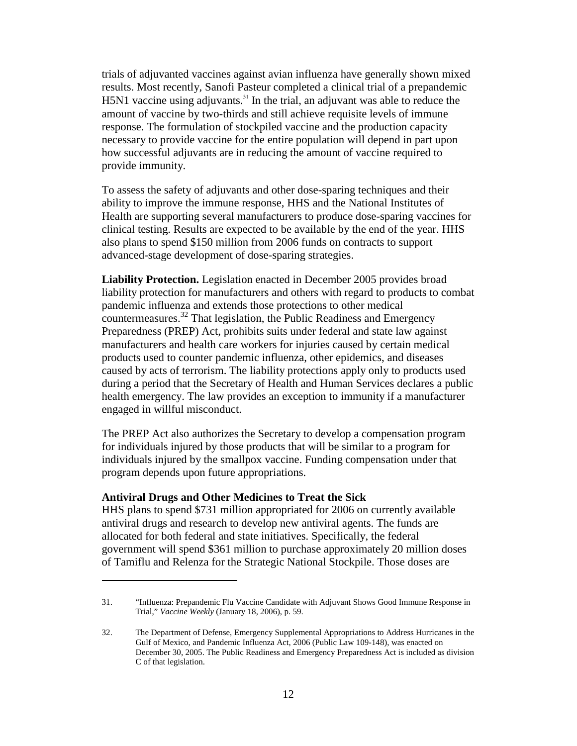trials of adjuvanted vaccines against avian influenza have generally shown mixed results. Most recently, Sanofi Pasteur completed a clinical trial of a prepandemic H5N1 vaccine using adjuvants.<sup>31</sup> In the trial, an adjuvant was able to reduce the amount of vaccine by two-thirds and still achieve requisite levels of immune response. The formulation of stockpiled vaccine and the production capacity necessary to provide vaccine for the entire population will depend in part upon how successful adjuvants are in reducing the amount of vaccine required to provide immunity.

To assess the safety of adjuvants and other dose-sparing techniques and their ability to improve the immune response, HHS and the National Institutes of Health are supporting several manufacturers to produce dose-sparing vaccines for clinical testing. Results are expected to be available by the end of the year. HHS also plans to spend \$150 million from 2006 funds on contracts to support advanced-stage development of dose-sparing strategies.

**Liability Protection.** Legislation enacted in December 2005 provides broad liability protection for manufacturers and others with regard to products to combat pandemic influenza and extends those protections to other medical countermeasures.<sup>32</sup> That legislation, the Public Readiness and Emergency Preparedness (PREP) Act, prohibits suits under federal and state law against manufacturers and health care workers for injuries caused by certain medical products used to counter pandemic influenza, other epidemics, and diseases caused by acts of terrorism. The liability protections apply only to products used during a period that the Secretary of Health and Human Services declares a public health emergency. The law provides an exception to immunity if a manufacturer engaged in willful misconduct.

The PREP Act also authorizes the Secretary to develop a compensation program for individuals injured by those products that will be similar to a program for individuals injured by the smallpox vaccine. Funding compensation under that program depends upon future appropriations.

#### **Antiviral Drugs and Other Medicines to Treat the Sick**

HHS plans to spend \$731 million appropriated for 2006 on currently available antiviral drugs and research to develop new antiviral agents. The funds are allocated for both federal and state initiatives. Specifically, the federal government will spend \$361 million to purchase approximately 20 million doses of Tamiflu and Relenza for the Strategic National Stockpile. Those doses are

<sup>31. &</sup>quot;Influenza: Prepandemic Flu Vaccine Candidate with Adjuvant Shows Good Immune Response in Trial," *Vaccine Weekly* (January 18, 2006), p. 59.

<sup>32.</sup> The Department of Defense, Emergency Supplemental Appropriations to Address Hurricanes in the Gulf of Mexico, and Pandemic Influenza Act, 2006 (Public Law 109-148), was enacted on December 30, 2005. The Public Readiness and Emergency Preparedness Act is included as division C of that legislation.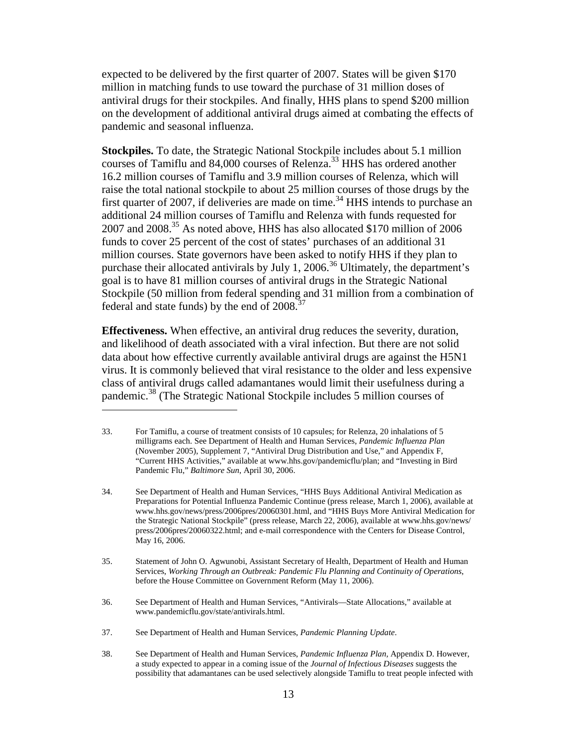expected to be delivered by the first quarter of 2007. States will be given \$170 million in matching funds to use toward the purchase of 31 million doses of antiviral drugs for their stockpiles. And finally, HHS plans to spend \$200 million on the development of additional antiviral drugs aimed at combating the effects of pandemic and seasonal influenza.

**Stockpiles.** To date, the Strategic National Stockpile includes about 5.1 million courses of Tamiflu and 84,000 courses of Relenza.<sup>33</sup> HHS has ordered another 16.2 million courses of Tamiflu and 3.9 million courses of Relenza, which will raise the total national stockpile to about 25 million courses of those drugs by the first quarter of 2007, if deliveries are made on time.<sup>34</sup> HHS intends to purchase an additional 24 million courses of Tamiflu and Relenza with funds requested for 2007 and 2008.<sup>35</sup> As noted above, HHS has also allocated \$170 million of 2006 funds to cover 25 percent of the cost of states' purchases of an additional 31 million courses. State governors have been asked to notify HHS if they plan to purchase their allocated antivirals by July 1, 2006.<sup>36</sup> Ultimately, the department's goal is to have 81 million courses of antiviral drugs in the Strategic National Stockpile (50 million from federal spending and 31 million from a combination of federal and state funds) by the end of  $2008.^{37}$ 

**Effectiveness.** When effective, an antiviral drug reduces the severity, duration, and likelihood of death associated with a viral infection. But there are not solid data about how effective currently available antiviral drugs are against the H5N1 virus. It is commonly believed that viral resistance to the older and less expensive class of antiviral drugs called adamantanes would limit their usefulness during a pandemic.<sup>38</sup> (The Strategic National Stockpile includes 5 million courses of

36. See Department of Health and Human Services, "Antivirals—State Allocations," available at www.pandemicflu.gov/state/antivirals.html.

<sup>33.</sup> For Tamiflu, a course of treatment consists of 10 capsules; for Relenza, 20 inhalations of 5 milligrams each. See Department of Health and Human Services, *Pandemic Influenza Plan* (November 2005), Supplement 7, "Antiviral Drug Distribution and Use," and Appendix F, "Current HHS Activities," available at www.hhs.gov/pandemicflu/plan; and "Investing in Bird Pandemic Flu," *Baltimore Sun*, April 30, 2006.

<sup>34.</sup> See Department of Health and Human Services, "HHS Buys Additional Antiviral Medication as Preparations for Potential Influenza Pandemic Continue (press release, March 1, 2006), available at www.hhs.gov/news/press/2006pres/20060301.html, and "HHS Buys More Antiviral Medication for the Strategic National Stockpile" (press release, March 22, 2006), available at www.hhs.gov/news/ press/2006pres/20060322.html; and e-mail correspondence with the Centers for Disease Control, May 16, 2006.

<sup>35.</sup> Statement of John O. Agwunobi, Assistant Secretary of Health, Department of Health and Human Services, *Working Through an Outbreak: Pandemic Flu Planning and Continuity of Operations*, before the House Committee on Government Reform (May 11, 2006).

<sup>37.</sup> See Department of Health and Human Services, *Pandemic Planning Update*.

<sup>38.</sup> See Department of Health and Human Services, *Pandemic Influenza Plan,* Appendix D. However, a study expected to appear in a coming issue of the *Journal of Infectious Diseases* suggests the possibility that adamantanes can be used selectively alongside Tamiflu to treat people infected with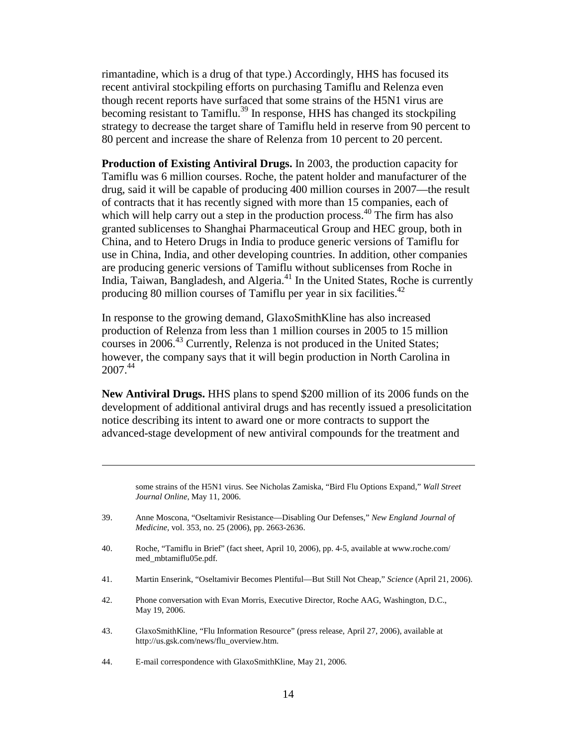rimantadine, which is a drug of that type.) Accordingly, HHS has focused its recent antiviral stockpiling efforts on purchasing Tamiflu and Relenza even though recent reports have surfaced that some strains of the H5N1 virus are becoming resistant to Tamiflu.<sup>39</sup> In response, HHS has changed its stockpiling strategy to decrease the target share of Tamiflu held in reserve from 90 percent to 80 percent and increase the share of Relenza from 10 percent to 20 percent.

**Production of Existing Antiviral Drugs.** In 2003, the production capacity for Tamiflu was 6 million courses. Roche, the patent holder and manufacturer of the drug, said it will be capable of producing 400 million courses in 2007—the result of contracts that it has recently signed with more than 15 companies, each of which will help carry out a step in the production process.<sup>40</sup> The firm has also granted sublicenses to Shanghai Pharmaceutical Group and HEC group, both in China, and to Hetero Drugs in India to produce generic versions of Tamiflu for use in China, India, and other developing countries. In addition, other companies are producing generic versions of Tamiflu without sublicenses from Roche in India, Taiwan, Bangladesh, and Algeria.<sup>41</sup> In the United States, Roche is currently producing 80 million courses of Tamiflu per year in six facilities.<sup>42</sup>

In response to the growing demand, GlaxoSmithKline has also increased production of Relenza from less than 1 million courses in 2005 to 15 million courses in 2006.<sup>43</sup> Currently, Relenza is not produced in the United States; however, the company says that it will begin production in North Carolina in  $2007^{44}$ 

**New Antiviral Drugs.** HHS plans to spend \$200 million of its 2006 funds on the development of additional antiviral drugs and has recently issued a presolicitation notice describing its intent to award one or more contracts to support the advanced-stage development of new antiviral compounds for the treatment and

some strains of the H5N1 virus. See Nicholas Zamiska, "Bird Flu Options Expand," *Wall Street Journal Online*, May 11, 2006.

- 39. Anne Moscona, "Oseltamivir Resistance—Disabling Our Defenses," *New England Journal of Medicine*, vol. 353, no. 25 (2006), pp. 2663-2636.
- 40. Roche, "Tamiflu in Brief" (fact sheet, April 10, 2006), pp. 4-5, available at www.roche.com/ med\_mbtamiflu05e.pdf.
- 41. Martin Enserink, "Oseltamivir Becomes Plentiful—But Still Not Cheap," *Science* (April 21, 2006).
- 42. Phone conversation with Evan Morris, Executive Director, Roche AAG, Washington, D.C., May 19, 2006.
- 43. GlaxoSmithKline, "Flu Information Resource" (press release, April 27, 2006), available at http://us.gsk.com/news/flu\_overview.htm.
- 44. E-mail correspondence with GlaxoSmithKline, May 21, 2006.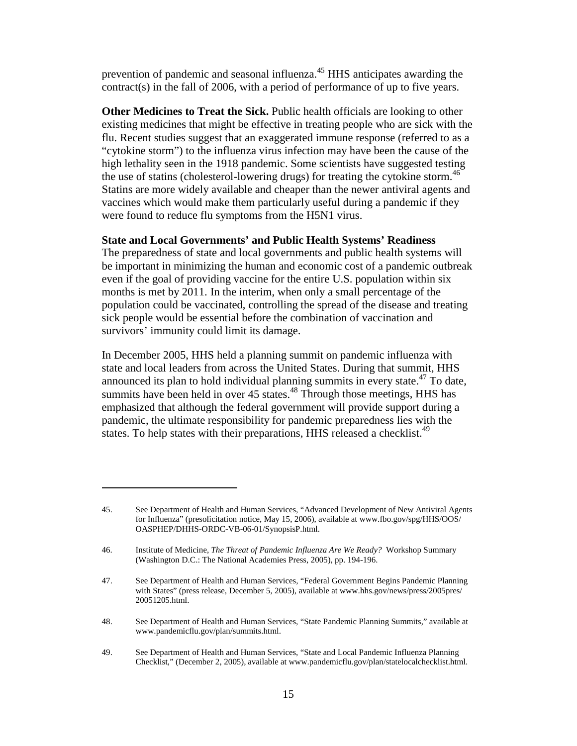prevention of pandemic and seasonal influenza.<sup>45</sup> HHS anticipates awarding the contract(s) in the fall of 2006, with a period of performance of up to five years.

**Other Medicines to Treat the Sick.** Public health officials are looking to other existing medicines that might be effective in treating people who are sick with the flu. Recent studies suggest that an exaggerated immune response (referred to as a "cytokine storm") to the influenza virus infection may have been the cause of the high lethality seen in the 1918 pandemic. Some scientists have suggested testing the use of statins (cholesterol-lowering drugs) for treating the cytokine storm.<sup>46</sup> Statins are more widely available and cheaper than the newer antiviral agents and vaccines which would make them particularly useful during a pandemic if they were found to reduce flu symptoms from the H5N1 virus.

#### **State and Local Governments' and Public Health Systems' Readiness**

The preparedness of state and local governments and public health systems will be important in minimizing the human and economic cost of a pandemic outbreak even if the goal of providing vaccine for the entire U.S. population within six months is met by 2011. In the interim, when only a small percentage of the population could be vaccinated, controlling the spread of the disease and treating sick people would be essential before the combination of vaccination and survivors' immunity could limit its damage.

In December 2005, HHS held a planning summit on pandemic influenza with state and local leaders from across the United States. During that summit, HHS announced its plan to hold individual planning summits in every state.<sup> $47$ </sup> To date, summits have been held in over 45 states.<sup>48</sup> Through those meetings, HHS has emphasized that although the federal government will provide support during a pandemic, the ultimate responsibility for pandemic preparedness lies with the states. To help states with their preparations, HHS released a checklist.<sup>49</sup>

<sup>45.</sup> See Department of Health and Human Services, "Advanced Development of New Antiviral Agents for Influenza" (presolicitation notice, May 15, 2006), available at www.fbo.gov/spg/HHS/OOS/ OASPHEP/DHHS-ORDC-VB-06-01/SynopsisP.html.

<sup>46.</sup> Institute of Medicine, *The Threat of Pandemic Influenza Are We Ready?* Workshop Summary (Washington D.C.: The National Academies Press, 2005), pp. 194-196.

<sup>47.</sup> See Department of Health and Human Services, "Federal Government Begins Pandemic Planning with States" (press release, December 5, 2005), available at www.hhs.gov/news/press/2005pres/ 20051205.html.

<sup>48.</sup> See Department of Health and Human Services, "State Pandemic Planning Summits," available at www.pandemicflu.gov/plan/summits.html.

<sup>49.</sup> See Department of Health and Human Services, "State and Local Pandemic Influenza Planning Checklist," (December 2, 2005), available at www.pandemicflu.gov/plan/statelocalchecklist.html.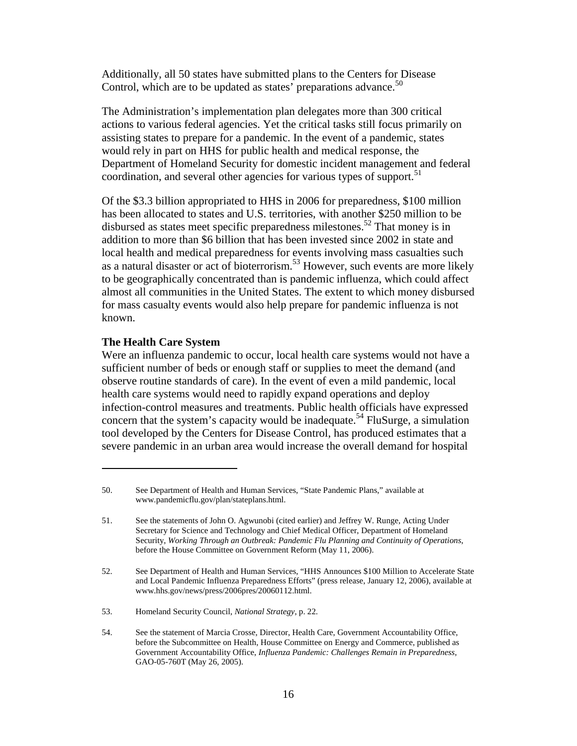Additionally, all 50 states have submitted plans to the Centers for Disease Control, which are to be updated as states' preparations advance.<sup>50</sup>

The Administration's implementation plan delegates more than 300 critical actions to various federal agencies. Yet the critical tasks still focus primarily on assisting states to prepare for a pandemic. In the event of a pandemic, states would rely in part on HHS for public health and medical response, the Department of Homeland Security for domestic incident management and federal coordination, and several other agencies for various types of support.<sup>51</sup>

Of the \$3.3 billion appropriated to HHS in 2006 for preparedness, \$100 million has been allocated to states and U.S. territories, with another \$250 million to be disbursed as states meet specific preparedness milestones.<sup>52</sup> That money is in addition to more than \$6 billion that has been invested since 2002 in state and local health and medical preparedness for events involving mass casualties such as a natural disaster or act of bioterrorism.<sup>53</sup> However, such events are more likely to be geographically concentrated than is pandemic influenza, which could affect almost all communities in the United States. The extent to which money disbursed for mass casualty events would also help prepare for pandemic influenza is not known.

#### **The Health Care System**

Were an influenza pandemic to occur, local health care systems would not have a sufficient number of beds or enough staff or supplies to meet the demand (and observe routine standards of care). In the event of even a mild pandemic, local health care systems would need to rapidly expand operations and deploy infection-control measures and treatments. Public health officials have expressed concern that the system's capacity would be inadequate.<sup>54</sup> FluSurge, a simulation tool developed by the Centers for Disease Control, has produced estimates that a severe pandemic in an urban area would increase the overall demand for hospital

<sup>50.</sup> See Department of Health and Human Services, "State Pandemic Plans," available at www.pandemicflu.gov/plan/stateplans.html.

<sup>51.</sup> See the statements of John O. Agwunobi (cited earlier) and Jeffrey W. Runge, Acting Under Secretary for Science and Technology and Chief Medical Officer, Department of Homeland Security, *Working Through an Outbreak: Pandemic Flu Planning and Continuity of Operations*, before the House Committee on Government Reform (May 11, 2006).

<sup>52.</sup> See Department of Health and Human Services, "HHS Announces \$100 Million to Accelerate State and Local Pandemic Influenza Preparedness Efforts" (press release, January 12, 2006), available at www.hhs.gov/news/press/2006pres/20060112.html.

<sup>53.</sup> Homeland Security Council, *National Strategy*, p. 22.

<sup>54.</sup> See the statement of Marcia Crosse, Director, Health Care, Government Accountability Office, before the Subcommittee on Health, House Committee on Energy and Commerce, published as Government Accountability Office, *Influenza Pandemic: Challenges Remain in Preparedness*, GAO-05-760T (May 26, 2005).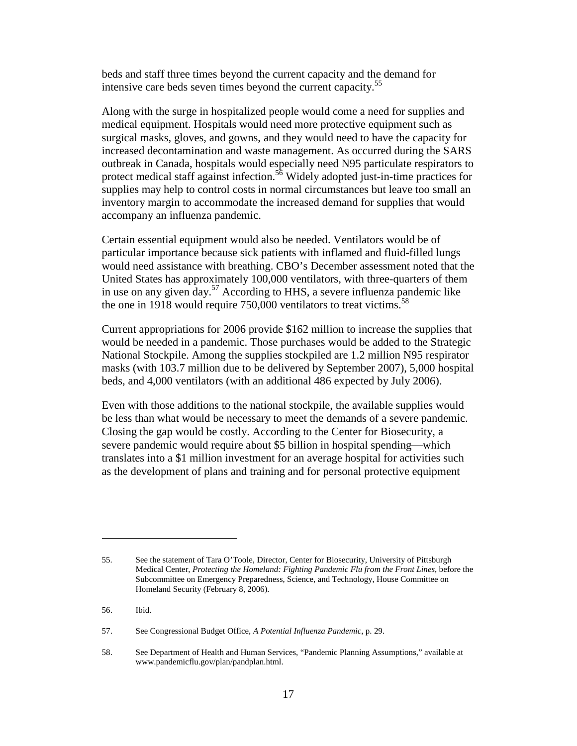beds and staff three times beyond the current capacity and the demand for intensive care beds seven times beyond the current capacity.<sup>55</sup>

Along with the surge in hospitalized people would come a need for supplies and medical equipment. Hospitals would need more protective equipment such as surgical masks, gloves, and gowns, and they would need to have the capacity for increased decontamination and waste management. As occurred during the SARS outbreak in Canada, hospitals would especially need N95 particulate respirators to protect medical staff against infection.<sup>56</sup> Widely adopted just-in-time practices for supplies may help to control costs in normal circumstances but leave too small an inventory margin to accommodate the increased demand for supplies that would accompany an influenza pandemic.

Certain essential equipment would also be needed. Ventilators would be of particular importance because sick patients with inflamed and fluid-filled lungs would need assistance with breathing. CBO's December assessment noted that the United States has approximately 100,000 ventilators, with three-quarters of them in use on any given day.<sup>57</sup> According to HHS, a severe influenza pandemic like the one in 1918 would require  $750,000$  ventilators to treat victims.<sup>58</sup>

Current appropriations for 2006 provide \$162 million to increase the supplies that would be needed in a pandemic. Those purchases would be added to the Strategic National Stockpile. Among the supplies stockpiled are 1.2 million N95 respirator masks (with 103.7 million due to be delivered by September 2007), 5,000 hospital beds, and 4,000 ventilators (with an additional 486 expected by July 2006).

Even with those additions to the national stockpile, the available supplies would be less than what would be necessary to meet the demands of a severe pandemic. Closing the gap would be costly. According to the Center for Biosecurity, a severe pandemic would require about \$5 billion in hospital spending—which translates into a \$1 million investment for an average hospital for activities such as the development of plans and training and for personal protective equipment

<sup>55.</sup> See the statement of Tara O'Toole, Director, Center for Biosecurity, University of Pittsburgh Medical Center, *Protecting the Homeland: Fighting Pandemic Flu from the Front Lines*, before the Subcommittee on Emergency Preparedness, Science, and Technology, House Committee on Homeland Security (February 8, 2006).

<sup>56.</sup> Ibid.

<sup>57.</sup> See Congressional Budget Office, *A Potential Influenza Pandemic*, p. 29.

<sup>58.</sup> See Department of Health and Human Services, "Pandemic Planning Assumptions," available at www.pandemicflu.gov/plan/pandplan.html.